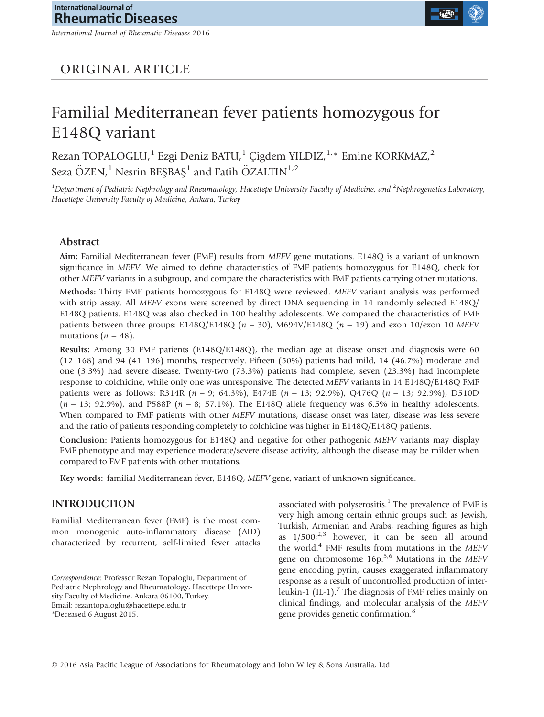International Journal of Rheumatic Diseases 2016



# ORIGINAL ARTICLE

# Familial Mediterranean fever patients homozygous for E148Q variant

Rezan TOPALOGLU,<sup>1</sup> Ezgi Deniz BATU,<sup>1</sup> Çigdem YILDIZ,<sup>1,\*</sup> Emine KORKMAZ,<sup>2</sup> Seza ÖZEN,<sup>1</sup> Nesrin BEŞBAŞ<sup>1</sup> and Fatih ÖZALTIN<sup>1,2</sup>

<sup>1</sup>Department of Pediatric Nephrology and Rheumatology, Hacettepe University Faculty of Medicine, and <sup>2</sup>Nephrogenetics Laboratory, Hacettepe University Faculty of Medicine, Ankara, Turkey

#### Abstract

Aim: Familial Mediterranean fever (FMF) results from MEFV gene mutations. E148Q is a variant of unknown significance in MEFV. We aimed to define characteristics of FMF patients homozygous for E148Q, check for other MEFV variants in a subgroup, and compare the characteristics with FMF patients carrying other mutations.

Methods: Thirty FMF patients homozygous for E148Q were reviewed. MEFV variant analysis was performed with strip assay. All MEFV exons were screened by direct DNA sequencing in 14 randomly selected E148Q/ E148Q patients. E148Q was also checked in 100 healthy adolescents. We compared the characteristics of FMF patients between three groups: E148Q/E148Q ( $n = 30$ ), M694V/E148Q ( $n = 19$ ) and exon 10/exon 10 MEFV mutations ( $n = 48$ ).

Results: Among 30 FMF patients (E148Q/E148Q), the median age at disease onset and diagnosis were 60 (12–168) and 94 (41–196) months, respectively. Fifteen (50%) patients had mild, 14 (46.7%) moderate and one (3.3%) had severe disease. Twenty-two (73.3%) patients had complete, seven (23.3%) had incomplete response to colchicine, while only one was unresponsive. The detected MEFV variants in 14 E148Q/E148Q FMF patients were as follows: R314R ( $n = 9$ ; 64.3%), E474E ( $n = 13$ ; 92.9%), Q476Q ( $n = 13$ ; 92.9%), D510D  $(n = 13; 92.9\%)$ , and P588P  $(n = 8; 57.1\%)$ . The E148Q allele frequency was 6.5% in healthy adolescents. When compared to FMF patients with other MEFV mutations, disease onset was later, disease was less severe and the ratio of patients responding completely to colchicine was higher in E148Q/E148Q patients.

Conclusion: Patients homozygous for E148Q and negative for other pathogenic MEFV variants may display FMF phenotype and may experience moderate/severe disease activity, although the disease may be milder when compared to FMF patients with other mutations.

Key words: familial Mediterranean fever, E148Q, MEFV gene, variant of unknown significance.

#### INTRODUCTION

Familial Mediterranean fever (FMF) is the most common monogenic auto-inflammatory disease (AID) characterized by recurrent, self-limited fever attacks

Correspondence: Professor Rezan Topaloglu, Department of Pediatric Nephrology and Rheumatology, Hacettepe University Faculty of Medicine, Ankara 06100, Turkey. Email: rezantopaloglu@hacettepe.edu.tr \*Deceased 6 August 2015.

associated with polyserositis.<sup>1</sup> The prevalence of FMF is very high among certain ethnic groups such as Jewish, Turkish, Armenian and Arabs, reaching figures as high as  $1/500$ ;<sup>2,3</sup> however, it can be seen all around the world.4 FMF results from mutations in the MEFV gene on chromosome  $16p^{5,6}$  Mutations in the MEFV gene encoding pyrin, causes exaggerated inflammatory response as a result of uncontrolled production of interleukin-1 (IL-1).<sup>7</sup> The diagnosis of FMF relies mainly on clinical findings, and molecular analysis of the MEFV gene provides genetic confirmation.<sup>8</sup>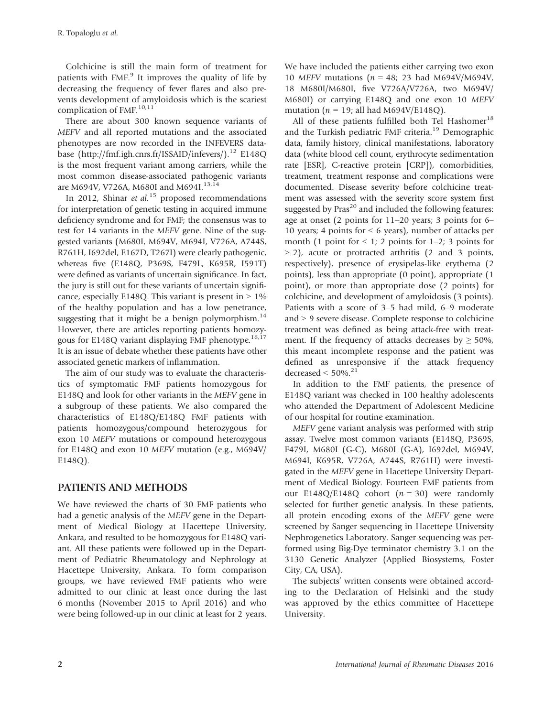Colchicine is still the main form of treatment for patients with  $FMF<sup>9</sup>$  It improves the quality of life by decreasing the frequency of fever flares and also prevents development of amyloidosis which is the scariest complication of FMF.<sup>10,11</sup>

There are about 300 known sequence variants of MEFV and all reported mutations and the associated phenotypes are now recorded in the INFEVERS database (<http://fmf.igh.cnrs.fr/ISSAID/infevers/>).<sup>12</sup> E148Q is the most frequent variant among carriers, while the most common disease-associated pathogenic variants are M694V, V726A, M680I and M694I.<sup>13,14</sup>

In 2012, Shinar et al.<sup>15</sup> proposed recommendations for interpretation of genetic testing in acquired immune deficiency syndrome and for FMF; the consensus was to test for 14 variants in the MEFV gene. Nine of the suggested variants (M680I, M694V, M694I, V726A, A744S, R761H, I692del, E167D, T267I) were clearly pathogenic, whereas five (E148Q, P369S, F479L, K695R, I591T) were defined as variants of uncertain significance. In fact, the jury is still out for these variants of uncertain significance, especially E148Q. This variant is present in  $> 1\%$ of the healthy population and has a low penetrance, suggesting that it might be a benign polymorphism. $^{14}$ However, there are articles reporting patients homozygous for E148Q variant displaying FMF phenotype.<sup>16,17</sup> It is an issue of debate whether these patients have other associated genetic markers of inflammation.

The aim of our study was to evaluate the characteristics of symptomatic FMF patients homozygous for E148Q and look for other variants in the MEFV gene in a subgroup of these patients. We also compared the characteristics of E148Q/E148Q FMF patients with patients homozygous/compound heterozygous for exon 10 MEFV mutations or compound heterozygous for E148Q and exon 10 MEFV mutation (e.g., M694V/ E148Q).

## PATIENTS AND METHODS

We have reviewed the charts of 30 FMF patients who had a genetic analysis of the MEFV gene in the Department of Medical Biology at Hacettepe University, Ankara, and resulted to be homozygous for E148Q variant. All these patients were followed up in the Department of Pediatric Rheumatology and Nephrology at Hacettepe University, Ankara. To form comparison groups, we have reviewed FMF patients who were admitted to our clinic at least once during the last 6 months (November 2015 to April 2016) and who were being followed-up in our clinic at least for 2 years.

We have included the patients either carrying two exon 10 MEFV mutations ( $n = 48$ ; 23 had M694V/M694V, 18 M680I/M680I, five V726A/V726A, two M694V/ M680I) or carrying E148Q and one exon 10 MEFV mutation ( $n = 19$ ; all had M694V/E148Q).

All of these patients fulfilled both Tel Hashomer<sup>18</sup> and the Turkish pediatric FMF criteria.<sup>19</sup> Demographic data, family history, clinical manifestations, laboratory data (white blood cell count, erythrocyte sedimentation rate [ESR], C-reactive protein [CRP]), comorbidities, treatment, treatment response and complications were documented. Disease severity before colchicine treatment was assessed with the severity score system first suggested by  $Pras^{20}$  and included the following features: age at onset (2 points for 11–20 years; 3 points for 6– 10 years; 4 points for ˂ 6 years), number of attacks per month (1 point for  $\leq 1$ ; 2 points for 1–2; 3 points for  $>$  2), acute or protracted arthritis (2 and 3 points, respectively), presence of erysipelas-like erythema (2 points), less than appropriate (0 point), appropriate (1 point), or more than appropriate dose (2 points) for colchicine, and development of amyloidosis (3 points). Patients with a score of 3–5 had mild, 6–9 moderate and  $> 9$  severe disease. Complete response to colchicine treatment was defined as being attack-free with treatment. If the frequency of attacks decreases by  $\geq 50\%$ , this meant incomplete response and the patient was defined as unresponsive if the attack frequency decreased  $<$  50%.<sup>21</sup>

In addition to the FMF patients, the presence of E148Q variant was checked in 100 healthy adolescents who attended the Department of Adolescent Medicine of our hospital for routine examination.

MEFV gene variant analysis was performed with strip assay. Twelve most common variants (E148Q, P369S, F479I, M680I (G-C), M680I (G-A), I692del, M694V, M694I, K695R, V726A, A744S, R761H) were investigated in the MEFV gene in Hacettepe University Department of Medical Biology. Fourteen FMF patients from our E148Q/E148Q cohort  $(n = 30)$  were randomly selected for further genetic analysis. In these patients, all protein encoding exons of the MEFV gene were screened by Sanger sequencing in Hacettepe University Nephrogenetics Laboratory. Sanger sequencing was performed using Big-Dye terminator chemistry 3.1 on the 3130 Genetic Analyzer (Applied Biosystems, Foster City, CA, USA).

The subjects' written consents were obtained according to the Declaration of Helsinki and the study was approved by the ethics committee of Hacettepe University.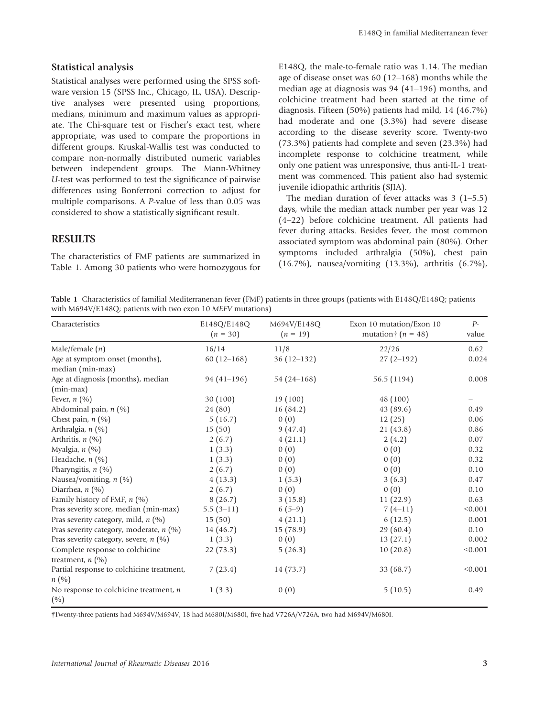#### Statistical analysis

Statistical analyses were performed using the SPSS software version 15 (SPSS Inc., Chicago, IL, USA). Descriptive analyses were presented using proportions, medians, minimum and maximum values as appropriate. The Chi-square test or Fischer's exact test, where appropriate, was used to compare the proportions in different groups. Kruskal-Wallis test was conducted to compare non-normally distributed numeric variables between independent groups. The Mann-Whitney U-test was performed to test the significance of pairwise differences using Bonferroni correction to adjust for multiple comparisons. A P-value of less than 0.05 was considered to show a statistically significant result.

#### **RESULTS**

The characteristics of FMF patients are summarized in Table 1. Among 30 patients who were homozygous for E148Q, the male-to-female ratio was 1.14. The median age of disease onset was 60 (12–168) months while the median age at diagnosis was 94 (41–196) months, and colchicine treatment had been started at the time of diagnosis. Fifteen (50%) patients had mild, 14 (46.7%) had moderate and one (3.3%) had severe disease according to the disease severity score. Twenty-two (73.3%) patients had complete and seven (23.3%) had incomplete response to colchicine treatment, while only one patient was unresponsive, thus anti-IL-1 treatment was commenced. This patient also had systemic juvenile idiopathic arthritis (SJIA).

The median duration of fever attacks was  $3(1-5.5)$ days, while the median attack number per year was 12 (4–22) before colchicine treatment. All patients had fever during attacks. Besides fever, the most common associated symptom was abdominal pain (80%). Other symptoms included arthralgia (50%), chest pain (16.7%), nausea/vomiting (13.3%), arthritis (6.7%),

Table 1 Characteristics of familial Mediterranenan fever (FMF) patients in three groups (patients with E148Q/E148Q; patients with M694V/E148Q; patients with two exon 10 MEFV mutations)

| Characteristics                                       | E148Q/E148Q<br>$(n = 30)$ | M694V/E148Q<br>$(n = 19)$ | Exon 10 mutation/Exon 10<br>mutation $\uparrow$ ( <i>n</i> = 48) | $P-$<br>value |
|-------------------------------------------------------|---------------------------|---------------------------|------------------------------------------------------------------|---------------|
| Male/female $(n)$                                     | 16/14                     | 11/8                      | 22/26                                                            | 0.62          |
| Age at symptom onset (months),<br>median (min-max)    | $60(12-168)$              | $36(12-132)$              | $27(2-192)$                                                      | 0.024         |
| Age at diagnosis (months), median<br>$(min-max)$      | $94(41-196)$              | 54 $(24 - 168)$           | 56.5 (1194)                                                      | 0.008         |
| Fever, $n$ (%)                                        | 30(100)                   | 19 (100)                  | 48 (100)                                                         |               |
| Abdominal pain, $n$ (%)                               | 24 (80)                   | 16(84.2)                  | 43(89.6)                                                         | 0.49          |
| Chest pain, $n$ (%)                                   | 5(16.7)                   | 0(0)                      | 12(25)                                                           | 0.06          |
| Arthralgia, $n$ (%)                                   | 15(50)                    | 9(47.4)                   | 21(43.8)                                                         | 0.86          |
| Arthritis, $n$ (%)                                    | 2(6.7)                    | 4(21.1)                   | 2(4.2)                                                           | 0.07          |
| Myalgia, $n$ (%)                                      | 1(3.3)                    | 0(0)                      | 0(0)                                                             | 0.32          |
| Headache, n (%)                                       | 1(3.3)                    | 0(0)                      | 0(0)                                                             | 0.32          |
| Pharyngitis, $n$ (%)                                  | 2(6.7)                    | 0(0)                      | 0(0)                                                             | 0.10          |
| Nausea/vomiting, $n$ (%)                              | 4(13.3)                   | 1(5.3)                    | 3(6.3)                                                           | 0.47          |
| Diarrhea, $n$ (%)                                     | 2(6.7)                    | 0(0)                      | 0(0)                                                             | 0.10          |
| Family history of FMF, $n$ (%)                        | 8(26.7)                   | 3(15.8)                   | 11(22.9)                                                         | 0.63          |
| Pras severity score, median (min-max)                 | $5.5(3-11)$               | $6(5-9)$                  | $7(4-11)$                                                        | < 0.001       |
| Pras severity category, mild, $n$ (%)                 | 15(50)                    | 4(21.1)                   | 6(12.5)                                                          | 0.001         |
| Pras severity category, moderate, n (%)               | 14(46.7)                  | 15(78.9)                  | 29(60.4)                                                         | 0.10          |
| Pras severity category, severe, $n$ (%)               | 1(3.3)                    | 0(0)                      | 13(27.1)                                                         | 0.002         |
| Complete response to colchicine<br>treatment, $n$ (%) | 22(73.3)                  | 5(26.3)                   | 10(20.8)                                                         | < 0.001       |
| Partial response to colchicine treatment,<br>n(%)     | 7(23.4)                   | 14 (73.7)                 | 33 (68.7)                                                        | < 0.001       |
| No response to colchicine treatment, $n$<br>(%)       | 1(3.3)                    | 0(0)                      | 5(10.5)                                                          | 0.49          |

†Twenty-three patients had M694V/M694V, 18 had M680I/M680I, five had V726A/V726A, two had M694V/M680I.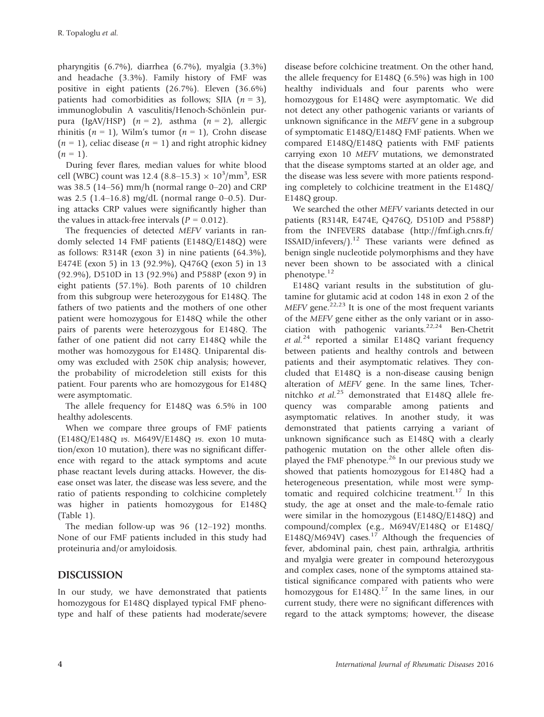pharyngitis (6.7%), diarrhea (6.7%), myalgia (3.3%) and headache (3.3%). Family history of FMF was positive in eight patients (26.7%). Eleven (36.6%) patients had comorbidities as follows; SJIA  $(n = 3)$ , immunoglobulin A vasculitis/Henoch-Schönlein purpura (IgAV/HSP)  $(n = 2)$ , asthma  $(n = 2)$ , allergic rhinitis ( $n = 1$ ), Wilm's tumor ( $n = 1$ ), Crohn disease  $(n = 1)$ , celiac disease  $(n = 1)$  and right atrophic kidney  $(n = 1)$ .

During fever flares, median values for white blood cell (WBC) count was 12.4 (8.8–15.3)  $\times 10^3/\text{mm}^3$ , ESR was 38.5 (14–56) mm/h (normal range  $0-20$ ) and CRP was 2.5 (1.4–16.8) mg/dL (normal range 0–0.5). During attacks CRP values were significantly higher than the values in attack-free intervals ( $P = 0.012$ ).

The frequencies of detected MEFV variants in randomly selected 14 FMF patients (E148Q/E148Q) were as follows: R314R (exon 3) in nine patients (64.3%), E474E (exon 5) in 13 (92.9%), Q476Q (exon 5) in 13 (92.9%), D510D in 13 (92.9%) and P588P (exon 9) in eight patients (57.1%). Both parents of 10 children from this subgroup were heterozygous for E148Q. The fathers of two patients and the mothers of one other patient were homozygous for E148Q while the other pairs of parents were heterozygous for E148Q. The father of one patient did not carry E148Q while the mother was homozygous for E148Q. Uniparental disomy was excluded with 250K chip analysis; however, the probability of microdeletion still exists for this patient. Four parents who are homozygous for E148Q were asymptomatic.

The allele frequency for E148Q was 6.5% in 100 healthy adolescents.

When we compare three groups of FMF patients (E148Q/E148Q vs. M649V/E148Q vs. exon 10 mutation/exon 10 mutation), there was no significant difference with regard to the attack symptoms and acute phase reactant levels during attacks. However, the disease onset was later, the disease was less severe, and the ratio of patients responding to colchicine completely was higher in patients homozygous for E148Q (Table 1).

The median follow-up was 96 (12–192) months. None of our FMF patients included in this study had proteinuria and/or amyloidosis.

### DISCUSSION

In our study, we have demonstrated that patients homozygous for E148Q displayed typical FMF phenotype and half of these patients had moderate/severe disease before colchicine treatment. On the other hand, the allele frequency for E148Q (6.5%) was high in 100 healthy individuals and four parents who were homozygous for E148Q were asymptomatic. We did not detect any other pathogenic variants or variants of unknown significance in the MEFV gene in a subgroup of symptomatic E148Q/E148Q FMF patients. When we compared E148Q/E148Q patients with FMF patients carrying exon 10 MEFV mutations, we demonstrated that the disease symptoms started at an older age, and the disease was less severe with more patients responding completely to colchicine treatment in the E148Q/ E148Q group.

We searched the other MEFV variants detected in our patients (R314R, E474E, Q476Q, D510D and P588P) from the INFEVERS database ([http://fmf.igh.cnrs.fr/](http://fmf.igh.cnrs.fr/ISSAID/infevers/)  $ISSAID/infevers/$ <sup>12</sup> These variants were defined as benign single nucleotide polymorphisms and they have never been shown to be associated with a clinical phenotype.<sup>12</sup>

E148Q variant results in the substitution of glutamine for glutamic acid at codon 148 in exon 2 of the MEFV gene.<sup>22,23</sup> It is one of the most frequent variants of the MEFV gene either as the only variant or in association with pathogenic variants. $22,24$  Ben-Chetrit et al.<sup>24</sup> reported a similar E148Q variant frequency between patients and healthy controls and between patients and their asymptomatic relatives. They concluded that E148Q is a non-disease causing benign alteration of MEFV gene. In the same lines, Tchernitchko et al.<sup>25</sup> demonstrated that E148Q allele frequency was comparable among patients and asymptomatic relatives. In another study, it was demonstrated that patients carrying a variant of unknown significance such as E148Q with a clearly pathogenic mutation on the other allele often displayed the FMF phenotype.<sup>26</sup> In our previous study we showed that patients homozygous for E148Q had a heterogeneous presentation, while most were symptomatic and required colchicine treatment.<sup>17</sup> In this study, the age at onset and the male-to-female ratio were similar in the homozygous (E148Q/E148Q) and compound/complex (e.g., M694V/E148Q or E148Q/ E148Q/M694V) cases.<sup>17</sup> Although the frequencies of fever, abdominal pain, chest pain, arthralgia, arthritis and myalgia were greater in compound heterozygous and complex cases, none of the symptoms attained statistical significance compared with patients who were homozygous for  $E148Q$ <sup>17</sup> In the same lines, in our current study, there were no significant differences with regard to the attack symptoms; however, the disease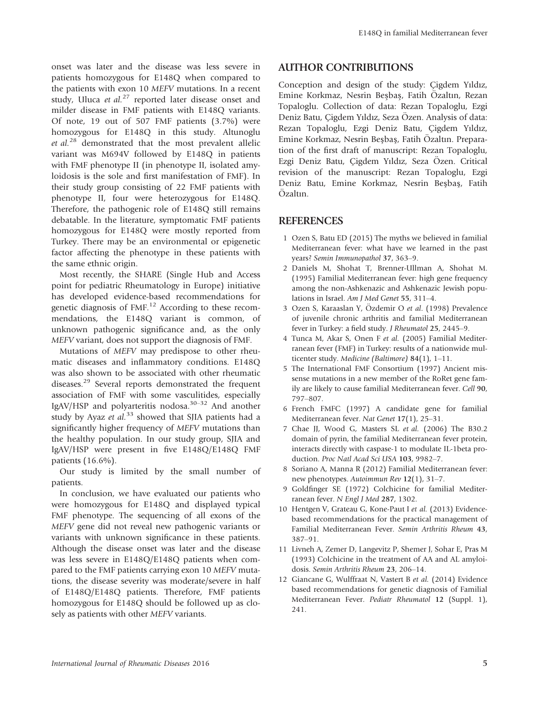onset was later and the disease was less severe in patients homozygous for E148Q when compared to the patients with exon 10 MEFV mutations. In a recent study, Uluca et  $al$ <sup>27</sup> reported later disease onset and milder disease in FMF patients with E148Q variants. Of note, 19 out of 507 FMF patients (3.7%) were homozygous for E148Q in this study. Altunoglu et  $al.^{28}$  demonstrated that the most prevalent allelic variant was M694V followed by E148Q in patients with FMF phenotype II (in phenotype II, isolated amyloidosis is the sole and first manifestation of FMF). In their study group consisting of 22 FMF patients with phenotype II, four were heterozygous for E148Q. Therefore, the pathogenic role of E148Q still remains debatable. In the literature, symptomatic FMF patients homozygous for E148Q were mostly reported from Turkey. There may be an environmental or epigenetic factor affecting the phenotype in these patients with the same ethnic origin.

Most recently, the SHARE (Single Hub and Access point for pediatric Rheumatology in Europe) initiative has developed evidence-based recommendations for genetic diagnosis of FMF.<sup>12</sup> According to these recommendations, the E148Q variant is common, of unknown pathogenic significance and, as the only MEFV variant, does not support the diagnosis of FMF.

Mutations of MEFV may predispose to other rheumatic diseases and inflammatory conditions. E148Q was also shown to be associated with other rheumatic diseases.<sup>29</sup> Several reports demonstrated the frequent association of FMF with some vasculitides, especially IgAV/HSP and polyarteritis nodosa. $30-32$  And another study by Ayaz et  $al^{33}$  showed that SJIA patients had a significantly higher frequency of MEFV mutations than the healthy population. In our study group, SJIA and IgAV/HSP were present in five E148Q/E148Q FMF patients (16.6%).

Our study is limited by the small number of patients.

In conclusion, we have evaluated our patients who were homozygous for E148Q and displayed typical FMF phenotype. The sequencing of all exons of the MEFV gene did not reveal new pathogenic variants or variants with unknown significance in these patients. Although the disease onset was later and the disease was less severe in E148Q/E148Q patients when compared to the FMF patients carrying exon 10 MEFV mutations, the disease severity was moderate/severe in half of E148Q/E148Q patients. Therefore, FMF patients homozygous for E148Q should be followed up as closely as patients with other MEFV variants.

#### AUTHOR CONTRIBUTIONS

Conception and design of the study: Çigdem Yıldız, Emine Korkmaz, Nesrin Besbas, Fatih Özaltın, Rezan Topaloglu. Collection of data: Rezan Topaloglu, Ezgi Deniz Batu, Çigdem Yıldız, Seza Özen. Analysis of data: Rezan Topaloglu, Ezgi Deniz Batu, Çigdem Yıldız, Emine Korkmaz, Nesrin Beşbaş, Fatih Özaltın. Preparation of the first draft of manuscript: Rezan Topaloglu, Ezgi Deniz Batu, Çigdem Yıldız, Seza Özen. Critical revision of the manuscript: Rezan Topaloglu, Ezgi Deniz Batu, Emine Korkmaz, Nesrin Besbas, Fatih Özaltın.

#### REFERENCES

- 1 Ozen S, Batu ED (2015) The myths we believed in familial Mediterranean fever: what have we learned in the past years? Semin Immunopathol 37, 363–9.
- 2 Daniels M, Shohat T, Brenner-Ullman A, Shohat M. (1995) Familial Mediterranean fever: high gene frequency among the non-Ashkenazic and Ashkenazic Jewish populations in Israel. Am J Med Genet 55, 311–4.
- 3 Ozen S, Karaaslan Y, Özdemir O et al. (1998) Prevalence of juvenile chronic arthritis and familial Mediterranean fever in Turkey: a field study. J Rheumatol 25, 2445–9.
- 4 Tunca M, Akar S, Onen F et al. (2005) Familial Mediterranean fever (FMF) in Turkey: results of a nationwide multicenter study. Medicine (Baltimore) 84(1), 1–11.
- 5 The International FMF Consortium (1997) Ancient missense mutations in a new member of the RoRet gene family are likely to cause familial Mediterranean fever. Cell 90, 797–807.
- 6 French FMFC (1997) A candidate gene for familial Mediterranean fever. Nat Genet 17(1), 25–31.
- 7 Chae JJ, Wood G, Masters SL et al. (2006) The B30.2 domain of pyrin, the familial Mediterranean fever protein, interacts directly with caspase-1 to modulate IL-1beta production. Proc Natl Acad Sci USA 103, 9982–7.
- 8 Soriano A, Manna R (2012) Familial Mediterranean fever: new phenotypes. Autoimmun Rev 12(1), 31–7.
- 9 Goldfinger SE (1972) Colchicine for familial Mediterranean fever. N Engl J Med 287, 1302.
- 10 Hentgen V, Grateau G, Kone-Paut I et al. (2013) Evidencebased recommendations for the practical management of Familial Mediterranean Fever. Semin Arthritis Rheum 43, 387–91.
- 11 Livneh A, Zemer D, Langevitz P, Shemer J, Sohar E, Pras M (1993) Colchicine in the treatment of AA and AL amyloidosis. Semin Arthritis Rheum 23, 206–14.
- 12 Giancane G, Wulffraat N, Vastert B et al. (2014) Evidence based recommendations for genetic diagnosis of Familial Mediterranean Fever. Pediatr Rheumatol 12 (Suppl. 1), 241.